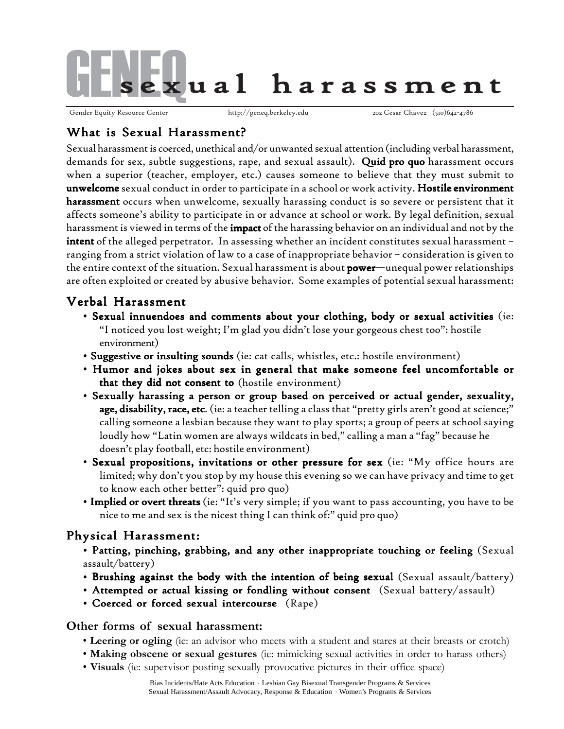

Gender Equity Resource Center http://geneq.berkeley.edu 202 Cesar Chavez (510)642-4786

## What is Sexual Harassment?

Sexual harassment is coerced, unethical and/or unwanted sexual attention (including verbal harassment, demands for sex, subtle suggestions, rape, and sexual assault). Quid pro quo harassment occurs when a superior (teacher, employer, etc.) causes someone to believe that they must submit to unwelcome sexual conduct in order to participate in a school or work activity. Hostile environment harassment occurs when unwelcome, sexually harassing conduct is so severe or persistent that it affects someone's ability to participate in or advance at school or work. By legal definition, sexual harassment is viewed in terms of the **impact** of the harassing behavior on an individual and not by the **intent** of the alleged perpetrator. In assessing whether an incident constitutes sexual harassment – ranging from a strict violation of law to a case of inappropriate behavior – consideration is given to the entire context of the situation. Sexual harassment is about  $power$ —unequal power relationships are often exploited or created by abusive behavior. Some examples of potential sexual harassment:

## Verbal Harassment

- Sexual innuendoes and comments about your clothing, body or sexual activities (ie: "I noticed you lost weight; I'm glad you didn't lose your gorgeous chest too": hostile environment)
- Suggestive or insulting sounds (ie: cat calls, whistles, etc.: hostile environment)
- Humor and jokes about sex in general that make someone feel uncomfortable or that they did not consent to (hostile environment)
- Sexually harassing a person or group based on perceived or actual gender, sexuality, age, disability, race, etc. (ie: a teacher telling a class that "pretty girls aren't good at science;" calling someone a lesbian because they want to play sports; a group of peers at school saying loudly how "Latin women are always wildcats in bed," calling a man a "fag" because he doesn't play football, etc: hostile environment)
- Sexual propositions, invitations or other pressure for sex (ie: "My office hours are limited; why don't you stop by my house this evening so we can have privacy and time to get to know each other better": quid pro quo)
- . Implied or overt threats (ie: "It's very simple; if you want to pass accounting, you have to be nice to me and sex is the nicest thing I can think of:" quid pro quo)

# Physical Harassment:

- Patting, pinching, grabbing, and any other inappropriate touching or feeling (Sexual assault/battery)
- Brushing against the body with the intention of being sexual (Sexual assault/battery)
- Attempted or actual kissing or fondling without consent (Sexual battery/assault)
- Coerced or forced sexual intercourse (Rape)

#### **Other forms of sexual harassment:**

- **Leering or ogling** (ie: an advisor who meets with a student and stares at their breasts or crotch)
- **Making obscene or sexual gestures** (ie: mimicking sexual activities in order to harass others)
- **Visuals** (ie: supervisor posting sexually provocative pictures in their office space)